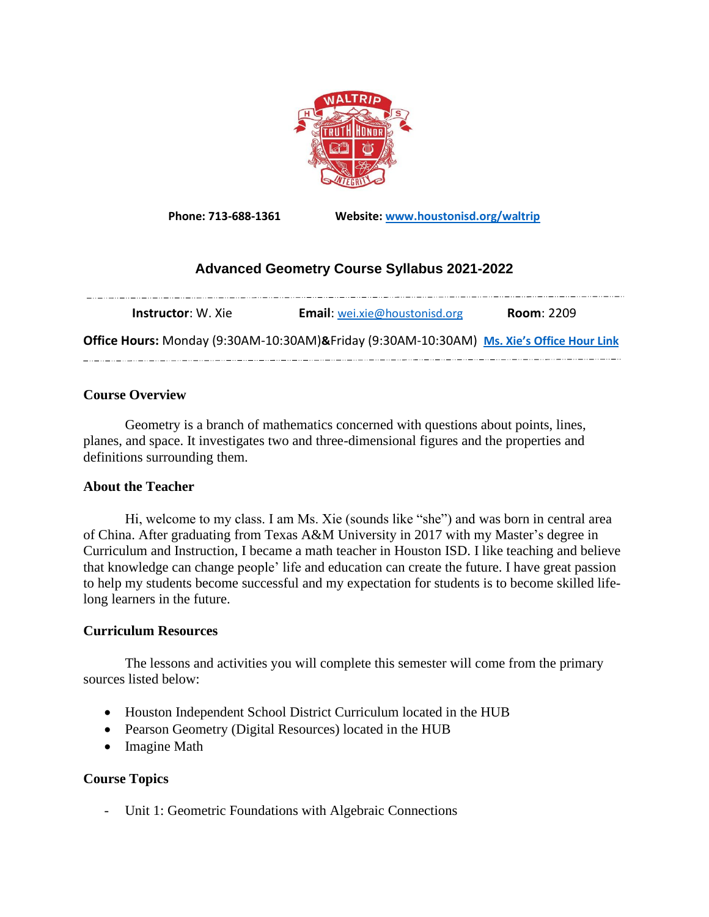

**Phone: 713-688-1361 Website: [www.houstonisd.org/waltrip](http://www.houstonisd.org/waltrip)**

## **Advanced Geometry Course Syllabus 2021-2022**

| <b>Instructor</b> : W. Xie                                                               | <b>Email:</b> wei.xie@houstonisd.org | <b>Room: 2209</b> |
|------------------------------------------------------------------------------------------|--------------------------------------|-------------------|
| Office Hours: Monday (9:30AM-10:30AM)&Friday (9:30AM-10:30AM) Ms. Xie's Office Hour Link |                                      |                   |

## **Course Overview**

Geometry is a branch of mathematics concerned with questions about points, lines, planes, and space. It investigates two and three-dimensional figures and the properties and definitions surrounding them.

## **About the Teacher**

Hi, welcome to my class. I am Ms. Xie (sounds like "she") and was born in central area of China. After graduating from Texas A&M University in 2017 with my Master's degree in Curriculum and Instruction, I became a math teacher in Houston ISD. I like teaching and believe that knowledge can change people' life and education can create the future. I have great passion to help my students become successful and my expectation for students is to become skilled lifelong learners in the future.

## **Curriculum Resources**

The lessons and activities you will complete this semester will come from the primary sources listed below:

- Houston Independent School District Curriculum located in the HUB
- Pearson Geometry (Digital Resources) located in the HUB
- Imagine Math

## **Course Topics**

- Unit 1: Geometric Foundations with Algebraic Connections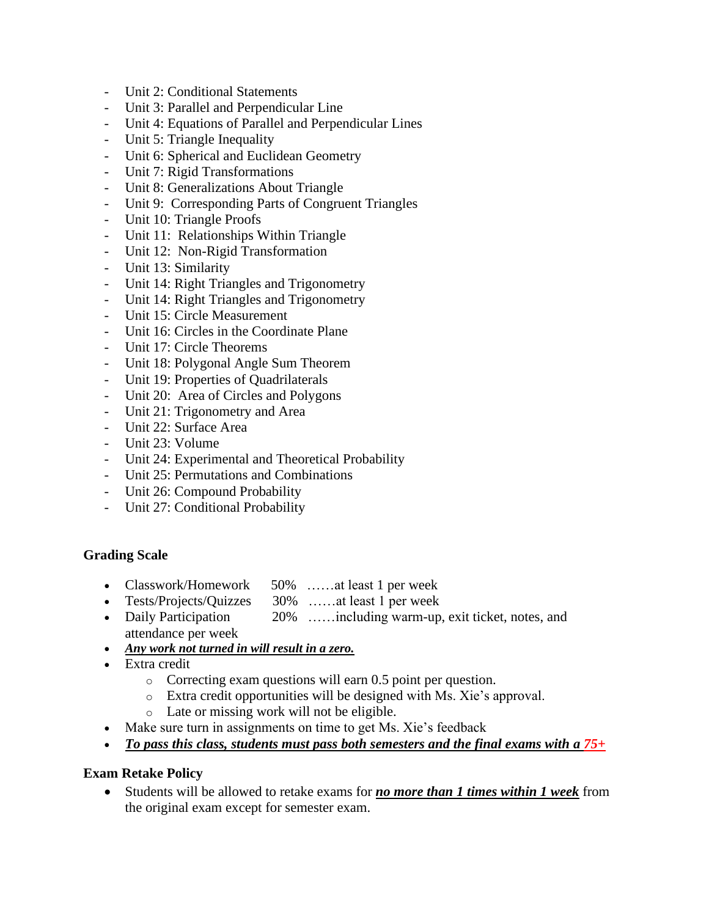- Unit 2: Conditional Statements
- Unit 3: Parallel and Perpendicular Line
- Unit 4: Equations of Parallel and Perpendicular Lines
- Unit 5: Triangle Inequality
- Unit 6: Spherical and Euclidean Geometry
- Unit 7: Rigid Transformations
- Unit 8: Generalizations About Triangle
- Unit 9: Corresponding Parts of Congruent Triangles
- Unit 10: Triangle Proofs
- Unit 11: Relationships Within Triangle
- Unit 12: Non-Rigid Transformation
- Unit 13: Similarity
- Unit 14: Right Triangles and Trigonometry
- Unit 14: Right Triangles and Trigonometry
- Unit 15: Circle Measurement
- Unit 16: Circles in the Coordinate Plane
- Unit 17: Circle Theorems
- Unit 18: Polygonal Angle Sum Theorem
- Unit 19: Properties of Quadrilaterals
- Unit 20: Area of Circles and Polygons
- Unit 21: Trigonometry and Area
- Unit 22: Surface Area
- Unit 23: Volume
- Unit 24: Experimental and Theoretical Probability
- Unit 25: Permutations and Combinations
- Unit 26: Compound Probability
- Unit 27: Conditional Probability

## **Grading Scale**

- Classwork/Homework 50% ……at least 1 per week
- Tests/Projects/Quizzes 30% ……at least 1 per week
- Daily Participation 20% ……including warm-up, exit ticket, notes, and attendance per week
- *Any work not turned in will result in a zero.*
- Extra credit
	- o Correcting exam questions will earn 0.5 point per question.
	- o Extra credit opportunities will be designed with Ms. Xie's approval.
	- o Late or missing work will not be eligible.
- Make sure turn in assignments on time to get Ms. Xie's feedback
- *To pass this class, students must pass both semesters and the final exams with a 75+*

## **Exam Retake Policy**

• Students will be allowed to retake exams for *no more than 1 times within 1 week* from the original exam except for semester exam.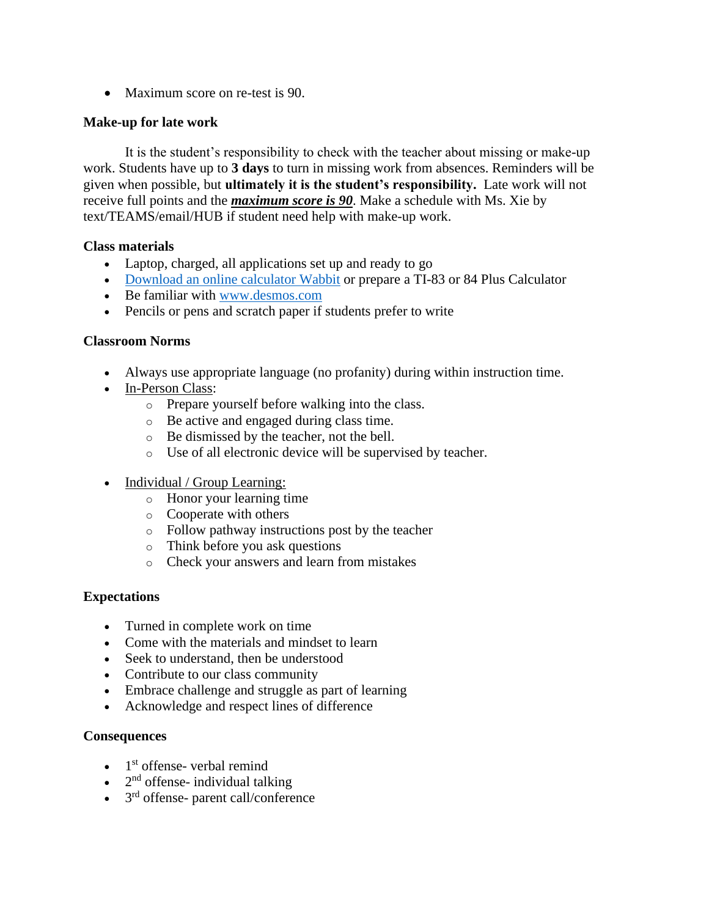• Maximum score on re-test is 90.

## **Make-up for late work**

It is the student's responsibility to check with the teacher about missing or make-up work. Students have up to **3 days** to turn in missing work from absences. Reminders will be given when possible, but **ultimately it is the student's responsibility.** Late work will not receive full points and the *maximum score is 90*. Make a schedule with Ms. Xie by text/TEAMS/email/HUB if student need help with make-up work.

## **Class materials**

- Laptop, charged, all applications set up and ready to go
- [Download an online calculator](https://drive.google.com/file/d/1ToZCijaNXebwKYkBdwYUsGsvh3byFWcg/view?usp=sharing) Wabbit or prepare a TI-83 or 84 Plus Calculator
- Be familiar with [www.desmos.com](http://www.desmos.com/)
- Pencils or pens and scratch paper if students prefer to write

## **Classroom Norms**

- Always use appropriate language (no profanity) during within instruction time.
- In-Person Class:
	- o Prepare yourself before walking into the class.
	- o Be active and engaged during class time.
	- o Be dismissed by the teacher, not the bell.
	- o Use of all electronic device will be supervised by teacher.
- Individual / Group Learning:
	- o Honor your learning time
	- o Cooperate with others
	- o Follow pathway instructions post by the teacher
	- o Think before you ask questions
	- o Check your answers and learn from mistakes

## **Expectations**

- Turned in complete work on time
- Come with the materials and mindset to learn
- Seek to understand, then be understood
- Contribute to our class community
- Embrace challenge and struggle as part of learning
- Acknowledge and respect lines of difference

## **Consequences**

- $\bullet$  1<sup>st</sup> offense- verbal remind
- $\bullet$  2<sup>nd</sup> offense- individual talking
- 3<sup>rd</sup> offense- parent call/conference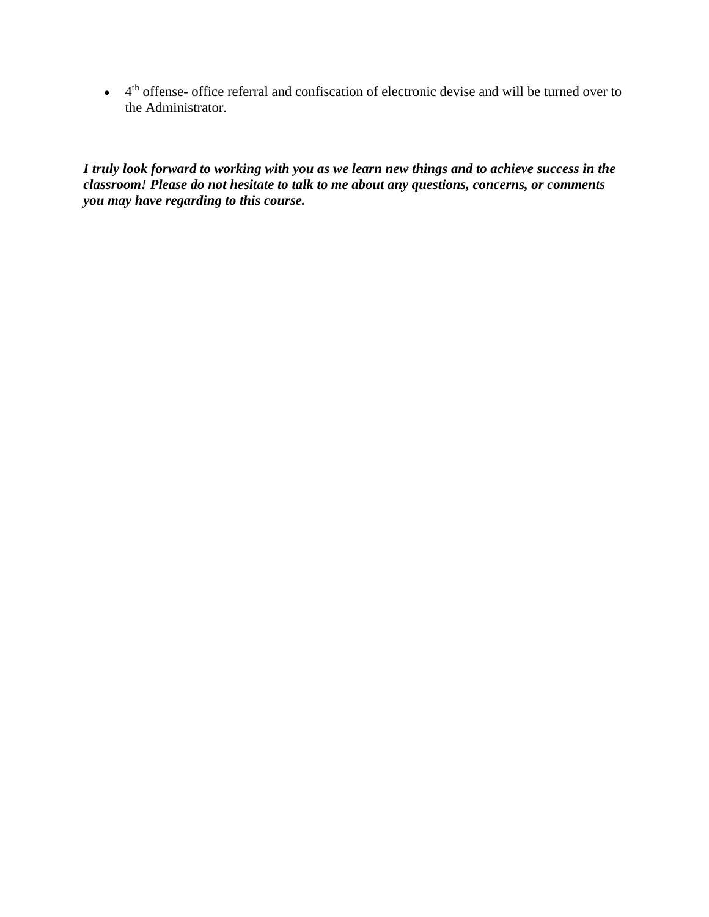$\bullet$  4<sup>th</sup> offense- office referral and confiscation of electronic devise and will be turned over to the Administrator.

*I truly look forward to working with you as we learn new things and to achieve success in the classroom! Please do not hesitate to talk to me about any questions, concerns, or comments you may have regarding to this course.*